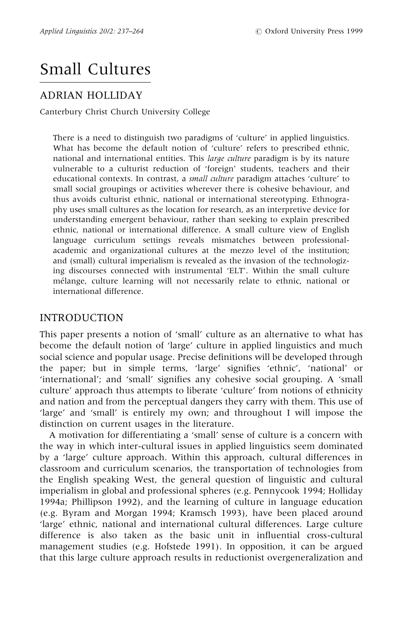# **Small Cultures**

# ADRIAN HOLLIDAY

Canterbury Christ Church University College

There is a need to distinguish two paradigms of 'culture' in applied linguistics. What has become the default notion of 'culture' refers to prescribed ethnic, national and international entities. This large culture paradigm is by its nature vulnerable to a culturist reduction of 'foreign' students, teachers and their educational contexts. In contrast, a *small culture* paradigm attaches 'culture' to small social groupings or activities wherever there is cohesive behaviour, and thus avoids culturist ethnic, national or international stereotyping. Ethnography uses small cultures as the location for research, as an interpretive device for understanding emergent behaviour, rather than seeking to explain prescribed ethnic, national or international difference. A small culture view of English language curriculum settings reveals mismatches between professionalacademic and organizational cultures at the mezzo level of the institution; and (small) cultural imperialism is revealed as the invasion of the technologizing discourses connected with instrumental 'ELT'. Within the small culture mélange, culture learning will not necessarily relate to ethnic, national or international difference.

## **INTRODUCTION**

This paper presents a notion of 'small' culture as an alternative to what has become the default notion of 'large' culture in applied linguistics and much social science and popular usage. Precise definitions will be developed through the paper; but in simple terms, 'large' signifies 'ethnic', 'national' or 'international'; and 'small' signifies any cohesive social grouping. A 'small culture' approach thus attempts to liberate 'culture' from notions of ethnicity and nation and from the perceptual dangers they carry with them. This use of 'large' and 'small' is entirely my own; and throughout I will impose the distinction on current usages in the literature.

A motivation for differentiating a 'small' sense of culture is a concern with the way in which inter-cultural issues in applied linguistics seem dominated by a 'large' culture approach. Within this approach, cultural differences in classroom and curriculum scenarios, the transportation of technologies from the English speaking West, the general question of linguistic and cultural imperialism in global and professional spheres (e.g. Pennycook 1994; Holliday 1994a; Phillipson 1992), and the learning of culture in language education (e.g. Byram and Morgan 1994; Kramsch 1993), have been placed around 'large' ethnic, national and international cultural differences. Large culture difference is also taken as the basic unit in influential cross-cultural management studies (e.g. Hofstede 1991). In opposition, it can be argued that this large culture approach results in reductionist overgeneralization and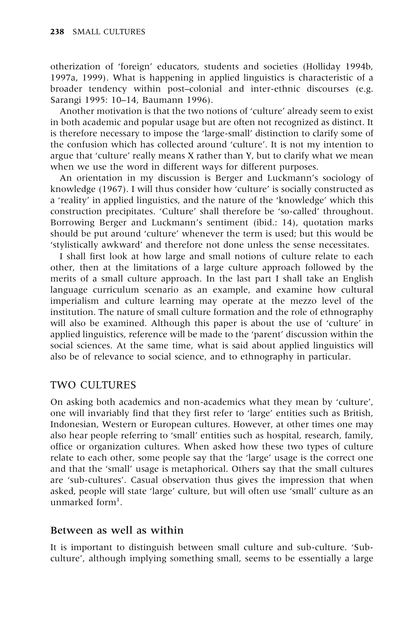otherization of 'foreign' educators, students and societies (Holliday 1994b, 1997a, 1999). What is happening in applied linguistics is characteristic of a broader tendency within post-colonial and inter-ethnic discourses (e.g. Sarangi 1995: 10-14, Baumann 1996).

Another motivation is that the two notions of 'culture' already seem to exist in both academic and popular usage but are often not recognized as distinct. It is therefore necessary to impose the 'large-small' distinction to clarify some of the confusion which has collected around 'culture'. It is not my intention to argue that 'culture' really means X rather than Y, but to clarify what we mean when we use the word in different ways for different purposes.

An orientation in my discussion is Berger and Luckmann's sociology of knowledge (1967). I will thus consider how 'culture' is socially constructed as a 'reality' in applied linguistics, and the nature of the 'knowledge' which this construction precipitates. 'Culture' shall therefore be 'so-called' throughout. Borrowing Berger and Luckmann's sentiment (ibid.: 14), quotation marks should be put around 'culture' whenever the term is used; but this would be 'stylistically awkward' and therefore not done unless the sense necessitates.

I shall first look at how large and small notions of culture relate to each other, then at the limitations of a large culture approach followed by the merits of a small culture approach. In the last part I shall take an English language curriculum scenario as an example, and examine how cultural imperialism and culture learning may operate at the mezzo level of the institution. The nature of small culture formation and the role of ethnography will also be examined. Although this paper is about the use of 'culture' in applied linguistics, reference will be made to the 'parent' discussion within the social sciences. At the same time, what is said about applied linguistics will also be of relevance to social science, and to ethnography in particular.

## **TWO CULTURES**

On asking both academics and non-academics what they mean by 'culture', one will invariably find that they first refer to 'large' entities such as British, Indonesian, Western or European cultures. However, at other times one may also hear people referring to 'small' entities such as hospital, research, family, office or organization cultures. When asked how these two types of culture relate to each other, some people say that the 'large' usage is the correct one and that the 'small' usage is metaphorical. Others say that the small cultures are 'sub-cultures'. Casual observation thus gives the impression that when asked, people will state 'large' culture, but will often use 'small' culture as an unmarked form<sup>1</sup>.

## Between as well as within

It is important to distinguish between small culture and sub-culture. 'Subculture', although implying something small, seems to be essentially a large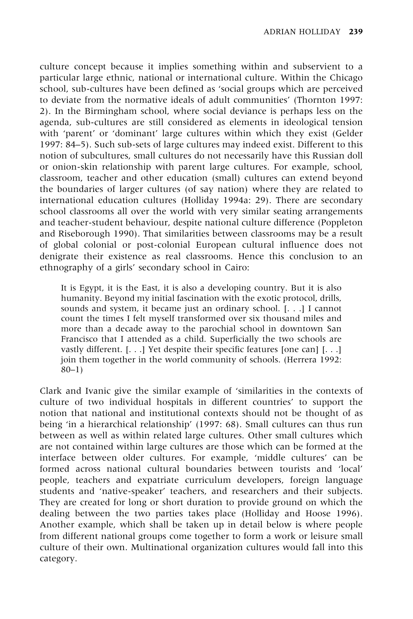culture concept because it implies something within and subservient to a particular large ethnic, national or international culture. Within the Chicago school, sub-cultures have been defined as 'social groups which are perceived to deviate from the normative ideals of adult communities' (Thornton 1997: 2). In the Birmingham school, where social deviance is perhaps less on the agenda, sub-cultures are still considered as elements in ideological tension with 'parent' or 'dominant' large cultures within which they exist (Gelder 1997: 84–5). Such sub-sets of large cultures may indeed exist. Different to this notion of subcultures, small cultures do not necessarily have this Russian doll or onion-skin relationship with parent large cultures. For example, school, classroom, teacher and other education (small) cultures can extend beyond the boundaries of larger cultures (of say nation) where they are related to international education cultures (Holliday 1994a: 29). There are secondary school classrooms all over the world with very similar seating arrangements and teacher-student behaviour, despite national culture difference (Poppleton and Riseborough 1990). That similarities between classrooms may be a result of global colonial or post-colonial European cultural influence does not denigrate their existence as real classrooms. Hence this conclusion to an ethnography of a girls' secondary school in Cairo:

It is Egypt, it is the East, it is also a developing country. But it is also humanity. Beyond my initial fascination with the exotic protocol, drills, sounds and system, it became just an ordinary school. [. . .] I cannot count the times I felt myself transformed over six thousand miles and more than a decade away to the parochial school in downtown San Francisco that I attended as a child. Superficially the two schools are vastly different.  $[...]$  Yet despite their specific features [one can]  $[...]$ join them together in the world community of schools. (Herrera 1992:  $80 - 1)$ 

Clark and Ivanic give the similar example of 'similarities in the contexts of culture of two individual hospitals in different countries' to support the notion that national and institutional contexts should not be thought of as being 'in a hierarchical relationship' (1997: 68). Small cultures can thus run between as well as within related large cultures. Other small cultures which are not contained within large cultures are those which can be formed at the interface between older cultures. For example, 'middle cultures' can be formed across national cultural boundaries between tourists and 'local' people, teachers and expatriate curriculum developers, foreign language students and 'native-speaker' teachers, and researchers and their subjects. They are created for long or short duration to provide ground on which the dealing between the two parties takes place (Holliday and Hoose 1996). Another example, which shall be taken up in detail below is where people from different national groups come together to form a work or leisure small culture of their own. Multinational organization cultures would fall into this category.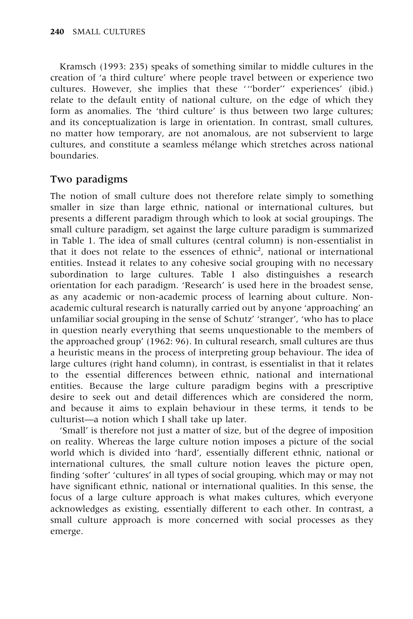Kramsch (1993: 235) speaks of something similar to middle cultures in the creation of 'a third culture' where people travel between or experience two cultures. However, she implies that these "border" experiences' (ibid.) relate to the default entity of national culture, on the edge of which they form as anomalies. The 'third culture' is thus between two large cultures; and its conceptualization is large in orientation. In contrast, small cultures, no matter how temporary, are not anomalous, are not subservient to large cultures, and constitute a seamless mélange which stretches across national boundaries.

# Two paradigms

The notion of small culture does not therefore relate simply to something smaller in size than large ethnic, national or international cultures, but presents a different paradigm through which to look at social groupings. The small culture paradigm, set against the large culture paradigm is summarized in Table 1. The idea of small cultures (central column) is non-essentialist in that it does not relate to the essences of ethnic<sup>2</sup>, national or international entities. Instead it relates to any cohesive social grouping with no necessary subordination to large cultures. Table 1 also distinguishes a research orientation for each paradigm. 'Research' is used here in the broadest sense, as any academic or non-academic process of learning about culture. Nonacademic cultural research is naturally carried out by anyone 'approaching' an unfamiliar social grouping in the sense of Schutz' 'stranger', 'who has to place in question nearly everything that seems unquestionable to the members of the approached group' (1962: 96). In cultural research, small cultures are thus a heuristic means in the process of interpreting group behaviour. The idea of large cultures (right hand column), in contrast, is essentialist in that it relates to the essential differences between ethnic, national and international entities. Because the large culture paradigm begins with a prescriptive desire to seek out and detail differences which are considered the norm, and because it aims to explain behaviour in these terms, it tends to be culturist—a notion which I shall take up later.

'Small' is therefore not just a matter of size, but of the degree of imposition on reality. Whereas the large culture notion imposes a picture of the social world which is divided into 'hard', essentially different ethnic, national or international cultures, the small culture notion leaves the picture open, finding 'softer' 'cultures' in all types of social grouping, which may or may not have significant ethnic, national or international qualities. In this sense, the focus of a large culture approach is what makes cultures, which everyone acknowledges as existing, essentially different to each other. In contrast, a small culture approach is more concerned with social processes as they emerge.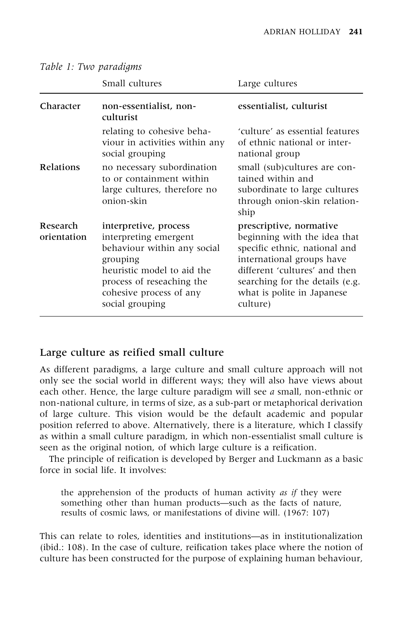|                         | Small cultures                                                                                                                                                                                     | Large cultures                                                                                                                                                                                                                      |
|-------------------------|----------------------------------------------------------------------------------------------------------------------------------------------------------------------------------------------------|-------------------------------------------------------------------------------------------------------------------------------------------------------------------------------------------------------------------------------------|
| Character               | non-essentialist, non-<br>culturist                                                                                                                                                                | essentialist, culturist                                                                                                                                                                                                             |
|                         | relating to cohesive beha-<br>viour in activities within any<br>social grouping                                                                                                                    | 'culture' as essential features<br>of ethnic national or inter-<br>national group                                                                                                                                                   |
| Relations               | no necessary subordination<br>to or containment within<br>large cultures, therefore no<br>onion-skin                                                                                               | small (sub)cultures are con-<br>tained within and<br>subordinate to large cultures<br>through onion-skin relation-<br>ship                                                                                                          |
| Research<br>orientation | interpretive, process<br>interpreting emergent<br>behaviour within any social<br>grouping<br>heuristic model to aid the<br>process of reseaching the<br>cohesive process of any<br>social grouping | prescriptive, normative<br>beginning with the idea that<br>specific ethnic, national and<br>international groups have<br>different 'cultures' and then<br>searching for the details (e.g.<br>what is polite in Japanese<br>culture) |

#### Table 1: Two paradigms

## Large culture as reified small culture

As different paradigms, a large culture and small culture approach will not only see the social world in different ways; they will also have views about each other. Hence, the large culture paradigm will see *a* small, non-ethnic or non-national culture, in terms of size, as a sub-part or metaphorical derivation of large culture. This vision would be the default academic and popular position referred to above. Alternatively, there is a literature, which I classify as within a small culture paradigm, in which non-essentialist small culture is seen as the original notion, of which large culture is a reification.

The principle of reification is developed by Berger and Luckmann as a basic force in social life. It involves:

the apprehension of the products of human activity as if they were something other than human products—such as the facts of nature, results of cosmic laws, or manifestations of divine will. (1967: 107)

This can relate to roles, identities and institutions-as in institutionalization (ibid.: 108). In the case of culture, reification takes place where the notion of culture has been constructed for the purpose of explaining human behaviour,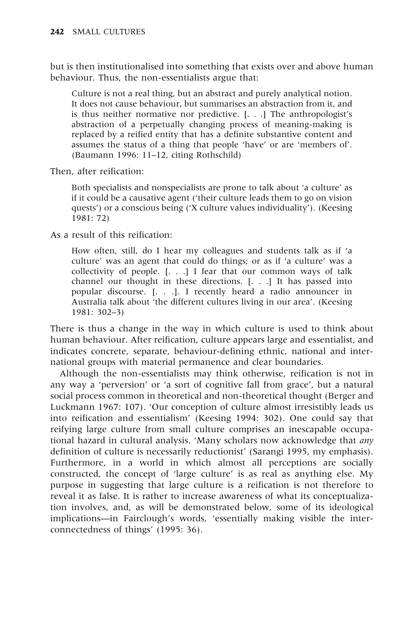but is then institutionalised into something that exists over and above human behaviour. Thus, the non-essentialists argue that:

Culture is not a real thing, but an abstract and purely analytical notion. It does not cause behaviour, but summarises an abstraction from it, and is thus neither normative nor predictive.  $[...]$  The anthropologist's abstraction of a perpetually changing process of meaning-making is replaced by a reified entity that has a definite substantive content and assumes the status of a thing that people 'have' or are 'members of'. (Baumann 1996: 11–12, citing Rothschild)

Then, after reification:

Both specialists and nonspecialists are prone to talk about 'a culture' as if it could be a causative agent ('their culture leads them to go on vision quests') or a conscious being ('X culture values individuality'). (Keesing  $1981:72$ 

As a result of this reification:

How often, still, do I hear my colleagues and students talk as if 'a culture' was an agent that could do things; or as if 'a culture' was a collectivity of people. [. . .] I fear that our common ways of talk channel our thought in these directions. [. . .] It has passed into popular discourse. [. . .]. I recently heard a radio announcer in Australia talk about 'the different cultures living in our area'. (Keesing  $1981: 302-3$ 

There is thus a change in the way in which culture is used to think about human behaviour. After reification, culture appears large and essentialist, and indicates concrete, separate, behaviour-defining ethnic, national and international groups with material permanence and clear boundaries.

Although the non-essentialists may think otherwise, reification is not in any way a 'perversion' or 'a sort of cognitive fall from grace', but a natural social process common in theoretical and non-theoretical thought (Berger and Luckmann 1967: 107). 'Our conception of culture almost irresistibly leads us into reification and essentialism' (Keesing 1994: 302). One could say that reifying large culture from small culture comprises an inescapable occupational hazard in cultural analysis. 'Many scholars now acknowledge that any definition of culture is necessarily reductionist' (Sarangi 1995, my emphasis). Furthermore, in a world in which almost all perceptions are socially constructed, the concept of 'large culture' is as real as anything else. My purpose in suggesting that large culture is a reification is not therefore to reveal it as false. It is rather to increase awareness of what its conceptualization involves, and, as will be demonstrated below, some of its ideological implications—in Fairclough's words, 'essentially making visible the interconnectedness of things' (1995: 36).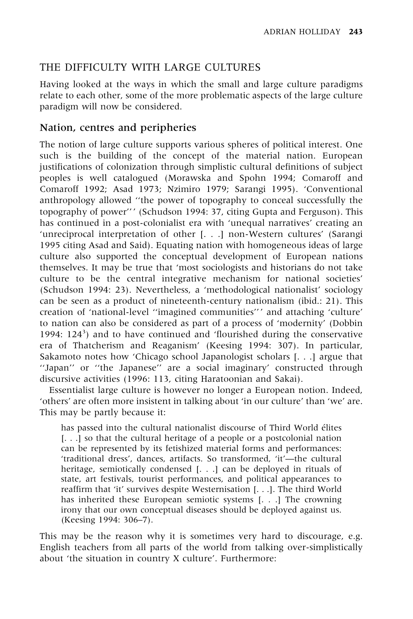# THE DIFFICULTY WITH LARGE CULTURES

Having looked at the ways in which the small and large culture paradigms relate to each other, some of the more problematic aspects of the large culture paradigm will now be considered.

# Nation, centres and peripheries

The notion of large culture supports various spheres of political interest. One such is the building of the concept of the material nation. European justifications of colonization through simplistic cultural definitions of subject peoples is well catalogued (Morawska and Spohn 1994; Comaroff and Comaroff 1992; Asad 1973; Nzimiro 1979; Sarangi 1995). 'Conventional anthropology allowed "the power of topography to conceal successfully the topography of power"' (Schudson 1994: 37, citing Gupta and Ferguson). This has continued in a post-colonialist era with 'unequal narratives' creating an 'unreciprocal interpretation of other [. . .] non-Western cultures' (Sarangi 1995 citing Asad and Said). Equating nation with homogeneous ideas of large culture also supported the conceptual development of European nations themselves. It may be true that 'most sociologists and historians do not take culture to be the central integrative mechanism for national societies' (Schudson 1994: 23). Nevertheless, a 'methodological nationalist' sociology can be seen as a product of nineteenth-century nationalism (ibid.: 21). This creation of 'national-level "imagined communities" and attaching 'culture' to nation can also be considered as part of a process of 'modernity' (Dobbin 1994:  $124<sup>3</sup>$  and to have continued and 'flourished during the conservative era of Thatcherism and Reaganism' (Keesing 1994: 307). In particular, Sakamoto notes how 'Chicago school Japanologist scholars [...] argue that "Japan" or "the Japanese" are a social imaginary' constructed through discursive activities (1996: 113, citing Haratoonian and Sakai).

Essentialist large culture is however no longer a European notion. Indeed, 'others' are often more insistent in talking about 'in our culture' than 'we' are. This may be partly because it:

has passed into the cultural nationalist discourse of Third World élites [...] so that the cultural heritage of a people or a postcolonial nation can be represented by its fetishized material forms and performances: 'traditional dress', dances, artifacts. So transformed, 'it'—the cultural heritage, semiotically condensed [...] can be deployed in rituals of state, art festivals, tourist performances, and political appearances to reaffirm that 'it' survives despite Westernisation [...]. The third World has inherited these European semiotic systems [. . .] The crowning irony that our own conceptual diseases should be deployed against us. (Keesing 1994: 306–7).

This may be the reason why it is sometimes very hard to discourage, e.g. English teachers from all parts of the world from talking over-simplistically about 'the situation in country X culture'. Furthermore: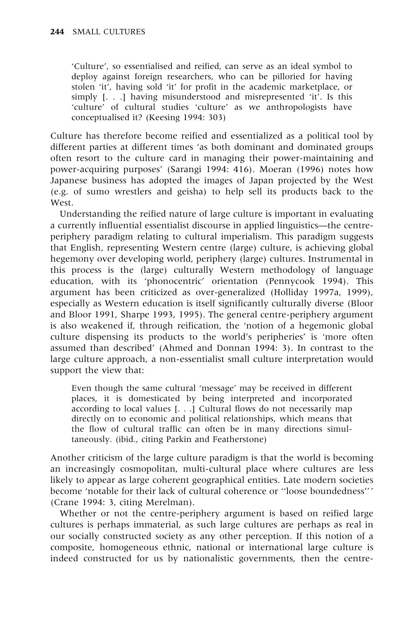'Culture', so essentialised and reified, can serve as an ideal symbol to deploy against foreign researchers, who can be pilloried for having stolen 'it', having sold 'it' for profit in the academic marketplace, or simply [...] having misunderstood and misrepresented 'it'. Is this 'culture' of cultural studies 'culture' as we anthropologists have conceptualised it? (Keesing 1994: 303)

Culture has therefore become reified and essentialized as a political tool by different parties at different times 'as both dominant and dominated groups often resort to the culture card in managing their power-maintaining and power-acquiring purposes' (Sarangi 1994: 416). Moeran (1996) notes how Japanese business has adopted the images of Japan projected by the West (e.g. of sumo wrestlers and geisha) to help sell its products back to the West.

Understanding the reified nature of large culture is important in evaluating a currently influential essentialist discourse in applied linguistics—the centreperiphery paradigm relating to cultural imperialism. This paradigm suggests that English, representing Western centre (large) culture, is achieving global hegemony over developing world, periphery (large) cultures. Instrumental in this process is the (large) culturally Western methodology of language education, with its 'phonocentric' orientation (Pennycook 1994). This argument has been criticized as over-generalized (Holliday 1997a, 1999), especially as Western education is itself significantly culturally diverse (Bloor and Bloor 1991, Sharpe 1993, 1995). The general centre-periphery argument is also weakened if, through reification, the 'notion of a hegemonic global culture dispensing its products to the world's peripheries' is 'more often assumed than described' (Ahmed and Donnan 1994: 3). In contrast to the large culture approach, a non-essentialist small culture interpretation would support the view that:

Even though the same cultural 'message' may be received in different places, it is domesticated by being interpreted and incorporated according to local values [. . .] Cultural flows do not necessarily map directly on to economic and political relationships, which means that the flow of cultural traffic can often be in many directions simultaneously. (ibid., citing Parkin and Featherstone)

Another criticism of the large culture paradigm is that the world is becoming an increasingly cosmopolitan, multi-cultural place where cultures are less likely to appear as large coherent geographical entities. Late modern societies become 'notable for their lack of cultural coherence or "loose boundedness"' (Crane 1994: 3, citing Merelman).

Whether or not the centre-periphery argument is based on reified large cultures is perhaps immaterial, as such large cultures are perhaps as real in our socially constructed society as any other perception. If this notion of a composite, homogeneous ethnic, national or international large culture is indeed constructed for us by nationalistic governments, then the centre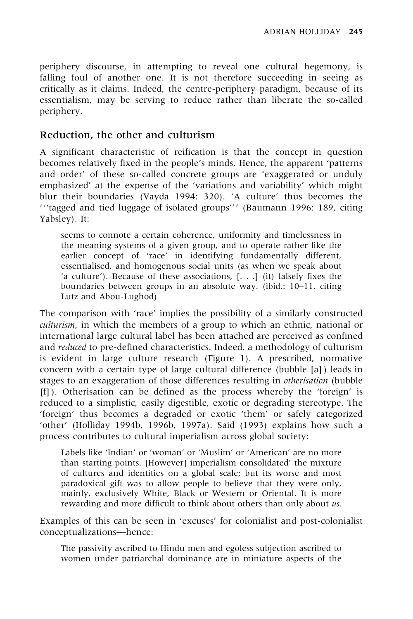periphery discourse, in attempting to reveal one cultural hegemony, is falling foul of another one. It is not therefore succeeding in seeing as critically as it claims. Indeed, the centre-periphery paradigm, because of its essentialism, may be serving to reduce rather than liberate the so-called periphery.

#### Reduction, the other and culturism

A significant characteristic of reification is that the concept in question becomes relatively fixed in the people's minds. Hence, the apparent 'patterns' and order' of these so-called concrete groups are 'exaggerated or unduly emphasized' at the expense of the 'variations and variability' which might blur their boundaries (Vayda 1994: 320). 'A culture' thus becomes the "tagged and tied luggage of isolated groups"" (Baumann 1996: 189, citing Yabsley). It:

seems to connote a certain coherence, uniformity and timelessness in the meaning systems of a given group, and to operate rather like the earlier concept of 'race' in identifying fundamentally different, essentialised, and homogenous social units (as when we speak about 'a culture'). Because of these associations,  $[...]$  (it) falsely fixes the boundaries between groups in an absolute way. (ibid.: 10–11, citing Lutz and Abou-Lughod)

The comparison with 'race' implies the possibility of a similarly constructed *culturism*, in which the members of a group to which an ethnic, national or international large cultural label has been attached are perceived as confined and *reduced* to pre-defined characteristics. Indeed, a methodology of culturism is evident in large culture research (Figure 1). A prescribed, normative concern with a certain type of large cultural difference (bubble [a]) leads in stages to an exaggeration of those differences resulting in *otherisation* (bubble [f]). Otherisation can be defined as the process whereby the 'foreign' is reduced to a simplistic, easily digestible, exotic or degrading stereotype. The 'foreign' thus becomes a degraded or exotic 'them' or safely categorized 'other' (Holliday 1994b, 1996b, 1997a). Said (1993) explains how such a process contributes to cultural imperialism across global society:

Labels like 'Indian' or 'woman' or 'Muslim' or 'American' are no more than starting points. [However] imperialism consolidated' the mixture of cultures and identities on a global scale; but its worse and most paradoxical gift was to allow people to believe that they were only, mainly, exclusively White, Black or Western or Oriental. It is more rewarding and more difficult to think about others than only about us.

Examples of this can be seen in 'excuses' for colonialist and post-colonialist conceptualizations-hence:

The passivity ascribed to Hindu men and egoless subjection ascribed to women under patriarchal dominance are in miniature aspects of the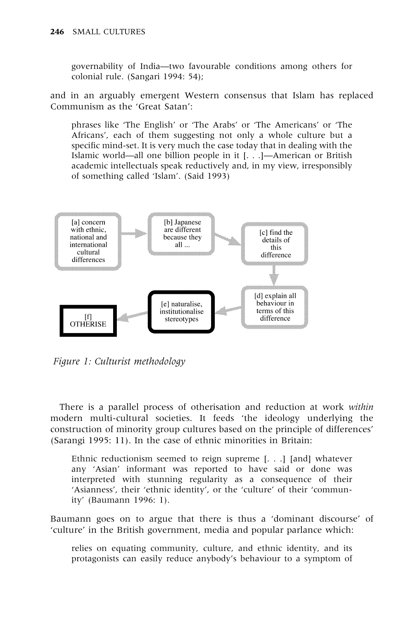governability of India—two favourable conditions among others for colonial rule. (Sangari 1994: 54);

and in an arguably emergent Western consensus that Islam has replaced Communism as the 'Great Satan':

phrases like 'The English' or 'The Arabs' or 'The Americans' or 'The Africans', each of them suggesting not only a whole culture but a specific mind-set. It is very much the case today that in dealing with the Islamic world—all one billion people in it [...]—American or British academic intellectuals speak reductively and, in my view, irresponsibly of something called 'Islam'. (Said 1993)



Figure 1: Culturist methodology

There is a parallel process of otherisation and reduction at work *within* modern multi-cultural societies. It feeds 'the ideology underlying the construction of minority group cultures based on the principle of differences' (Sarangi 1995: 11). In the case of ethnic minorities in Britain:

Ethnic reductionism seemed to reign supreme [...] [and] whatever any 'Asian' informant was reported to have said or done was interpreted with stunning regularity as a consequence of their 'Asianness', their 'ethnic identity', or the 'culture' of their 'community' (Baumann 1996: 1).

Baumann goes on to argue that there is thus a 'dominant discourse' of 'culture' in the British government, media and popular parlance which:

relies on equating community, culture, and ethnic identity, and its protagonists can easily reduce anybody's behaviour to a symptom of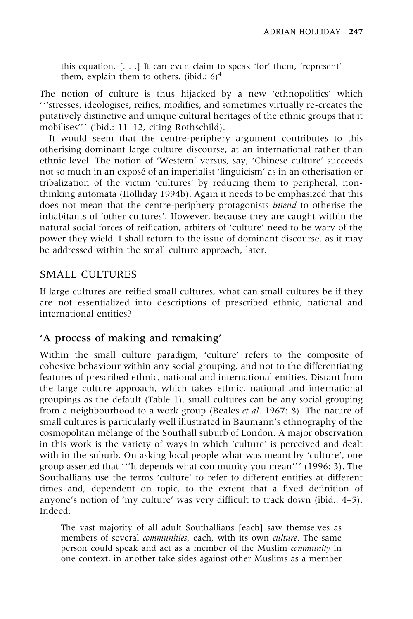this equation.  $[...]$  It can even claim to speak 'for' them, 'represent' them, explain them to others. (ibid.:  $6)^4$ 

The notion of culture is thus hijacked by a new 'ethnopolitics' which "stresses, ideologises, reifies, modifies, and sometimes virtually re-creates the putatively distinctive and unique cultural heritages of the ethnic groups that it mobilises"' (ibid.: 11–12, citing Rothschild).

It would seem that the centre-periphery argument contributes to this otherising dominant large culture discourse, at an international rather than ethnic level. The notion of 'Western' versus, say, 'Chinese culture' succeeds not so much in an exposé of an imperialist 'linguicism' as in an otherisation or tribalization of the victim 'cultures' by reducing them to peripheral, nonthinking automata (Holliday 1994b). Again it needs to be emphasized that this does not mean that the centre-periphery protagonists *intend* to otherise the inhabitants of 'other cultures'. However, because they are caught within the natural social forces of reification, arbiters of 'culture' need to be wary of the power they wield. I shall return to the issue of dominant discourse, as it may be addressed within the small culture approach, later.

#### **SMALL CULTURES**

If large cultures are reified small cultures, what can small cultures be if they are not essentialized into descriptions of prescribed ethnic, national and international entities?

#### 'A process of making and remaking'

Within the small culture paradigm, 'culture' refers to the composite of cohesive behaviour within any social grouping, and not to the differentiating features of prescribed ethnic, national and international entities. Distant from the large culture approach, which takes ethnic, national and international groupings as the default (Table 1), small cultures can be any social grouping from a neighbourhood to a work group (Beales et al. 1967: 8). The nature of small cultures is particularly well illustrated in Baumann's ethnography of the cosmopolitan mélange of the Southall suburb of London. A major observation in this work is the variety of ways in which 'culture' is perceived and dealt with in the suburb. On asking local people what was meant by 'culture', one group asserted that "'It depends what community you mean"' (1996: 3). The Southallians use the terms 'culture' to refer to different entities at different times and, dependent on topic, to the extent that a fixed definition of anyone's notion of 'my culture' was very difficult to track down (ibid.: 4–5). Indeed:

The vast majority of all adult Southallians [each] saw themselves as members of several *communities*, each, with its own *culture*. The same person could speak and act as a member of the Muslim *community* in one context, in another take sides against other Muslims as a member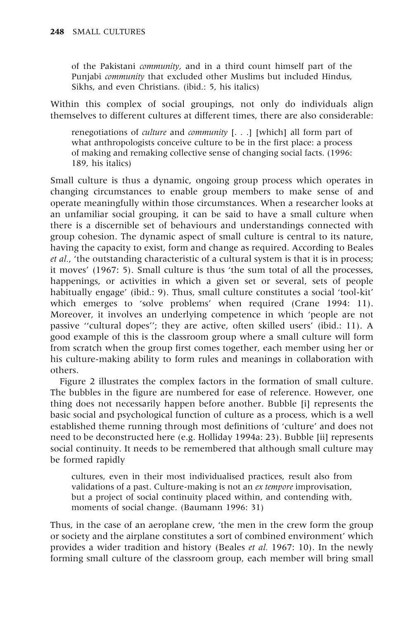of the Pakistani *community*, and in a third count himself part of the Punjabi community that excluded other Muslims but included Hindus, Sikhs, and even Christians, (ibid.: 5, his italics)

Within this complex of social groupings, not only do individuals align themselves to different cultures at different times, there are also considerable:

renegotiations of *culture* and *community*  $[ . . . ]$  [which] all form part of what anthropologists conceive culture to be in the first place: a process of making and remaking collective sense of changing social facts. (1996: 189. his italics)

Small culture is thus a dynamic, ongoing group process which operates in changing circumstances to enable group members to make sense of and operate meaningfully within those circumstances. When a researcher looks at an unfamiliar social grouping, it can be said to have a small culture when there is a discernible set of behaviours and understandings connected with group cohesion. The dynamic aspect of small culture is central to its nature, having the capacity to exist, form and change as required. According to Beales *et al.*, 'the outstanding characteristic of a cultural system is that it is in process; it moves' (1967: 5). Small culture is thus 'the sum total of all the processes, happenings, or activities in which a given set or several, sets of people habitually engage' (ibid.: 9). Thus, small culture constitutes a social 'tool-kit' which emerges to 'solve problems' when required (Crane 1994: 11). Moreover, it involves an underlying competence in which 'people are not passive "cultural dopes"; they are active, often skilled users' (ibid.: 11). A good example of this is the classroom group where a small culture will form from scratch when the group first comes together, each member using her or his culture-making ability to form rules and meanings in collaboration with others.

Figure 2 illustrates the complex factors in the formation of small culture. The bubbles in the figure are numbered for ease of reference. However, one thing does not necessarily happen before another. Bubble [i] represents the basic social and psychological function of culture as a process, which is a well established theme running through most definitions of 'culture' and does not need to be deconstructed here (e.g. Holliday 1994a: 23). Bubble [ii] represents social continuity. It needs to be remembered that although small culture may be formed rapidly

cultures, even in their most individualised practices, result also from validations of a past. Culture-making is not an *ex tempore* improvisation, but a project of social continuity placed within, and contending with, moments of social change. (Baumann 1996: 31)

Thus, in the case of an aeroplane crew, 'the men in the crew form the group or society and the airplane constitutes a sort of combined environment' which provides a wider tradition and history (Beales et al. 1967: 10). In the newly forming small culture of the classroom group, each member will bring small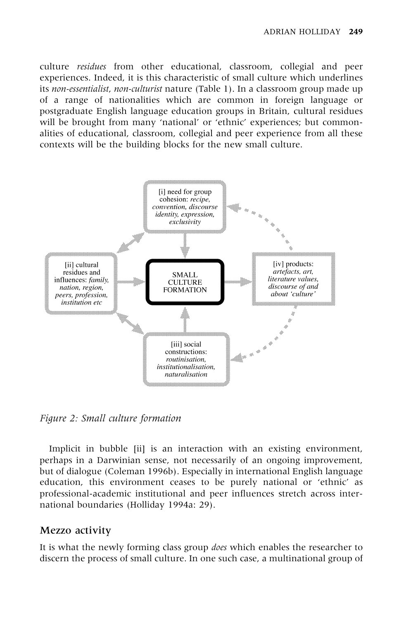culture *residues* from other educational, classroom, collegial and peer experiences. Indeed, it is this characteristic of small culture which underlines its non-essentialist, non-culturist nature (Table 1). In a classroom group made up of a range of nationalities which are common in foreign language or postgraduate English language education groups in Britain, cultural residues will be brought from many 'national' or 'ethnic' experiences; but commonalities of educational, classroom, collegial and peer experience from all these contexts will be the building blocks for the new small culture.



Figure 2: Small culture formation

Implicit in bubble [ii] is an interaction with an existing environment, perhaps in a Darwinian sense, not necessarily of an ongoing improvement, but of dialogue (Coleman 1996b). Especially in international English language education, this environment ceases to be purely national or 'ethnic' as professional-academic institutional and peer influences stretch across international boundaries (Holliday 1994a: 29).

## Mezzo activity

It is what the newly forming class group does which enables the researcher to discern the process of small culture. In one such case, a multinational group of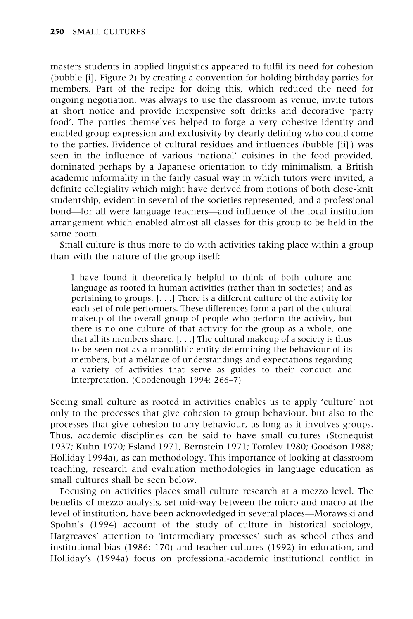masters students in applied linguistics appeared to fulfil its need for cohesion (bubble [i], Figure 2) by creating a convention for holding birthday parties for members. Part of the recipe for doing this, which reduced the need for ongoing negotiation, was always to use the classroom as venue, invite tutors at short notice and provide inexpensive soft drinks and decorative 'party food'. The parties themselves helped to forge a very cohesive identity and enabled group expression and exclusivity by clearly defining who could come to the parties. Evidence of cultural residues and influences (bubble [ii]) was seen in the influence of various 'national' cuisines in the food provided, dominated perhaps by a Japanese orientation to tidy minimalism, a British academic informality in the fairly casual way in which tutors were invited, a definite collegiality which might have derived from notions of both close-knit studentship, evident in several of the societies represented, and a professional bond—for all were language teachers—and influence of the local institution arrangement which enabled almost all classes for this group to be held in the same room.

Small culture is thus more to do with activities taking place within a group than with the nature of the group itself:

I have found it theoretically helpful to think of both culture and language as rooted in human activities (rather than in societies) and as pertaining to groups.  $[...]$  There is a different culture of the activity for each set of role performers. These differences form a part of the cultural makeup of the overall group of people who perform the activity, but there is no one culture of that activity for the group as a whole, one that all its members share.  $[...]$  The cultural makeup of a society is thus to be seen not as a monolithic entity determining the behaviour of its members, but a mélange of understandings and expectations regarding a variety of activities that serve as guides to their conduct and interpretation. (Goodenough 1994: 266-7)

Seeing small culture as rooted in activities enables us to apply 'culture' not only to the processes that give cohesion to group behaviour, but also to the processes that give cohesion to any behaviour, as long as it involves groups. Thus, academic disciplines can be said to have small cultures (Stonequist 1937; Kuhn 1970; Esland 1971, Bernstein 1971; Tomley 1980; Goodson 1988; Holliday 1994a), as can methodology. This importance of looking at classroom teaching, research and evaluation methodologies in language education as small cultures shall be seen below.

Focusing on activities places small culture research at a mezzo level. The benefits of mezzo analysis, set mid-way between the micro and macro at the level of institution, have been acknowledged in several places—Morawski and Spohn's (1994) account of the study of culture in historical sociology, Hargreaves' attention to 'intermediary processes' such as school ethos and institutional bias (1986: 170) and teacher cultures (1992) in education, and Holliday's (1994a) focus on professional-academic institutional conflict in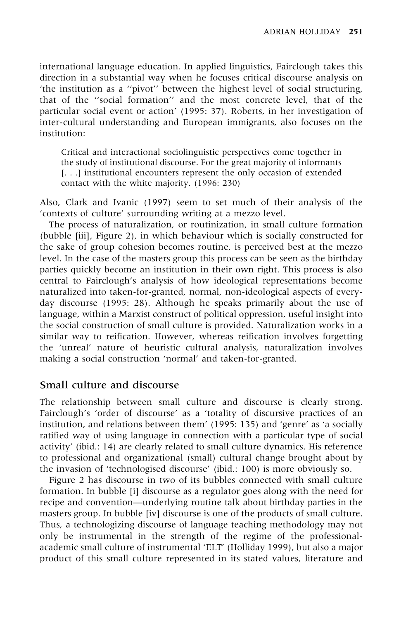international language education. In applied linguistics, Fairclough takes this direction in a substantial way when he focuses critical discourse analysis on 'the institution as a "pivot" between the highest level of social structuring, that of the "social formation" and the most concrete level, that of the particular social event or action' (1995: 37). Roberts, in her investigation of inter-cultural understanding and European immigrants, also focuses on the institution:

Critical and interactional sociolinguistic perspectives come together in the study of institutional discourse. For the great majority of informants [...] institutional encounters represent the only occasion of extended contact with the white majority. (1996: 230)

Also, Clark and Ivanic (1997) seem to set much of their analysis of the 'contexts of culture' surrounding writing at a mezzo level.

The process of naturalization, or routinization, in small culture formation (bubble [iii], Figure 2), in which behaviour which is socially constructed for the sake of group cohesion becomes routine, is perceived best at the mezzo level. In the case of the masters group this process can be seen as the birthday parties quickly become an institution in their own right. This process is also central to Fairclough's analysis of how ideological representations become naturalized into taken-for-granted, normal, non-ideological aspects of everyday discourse (1995: 28). Although he speaks primarily about the use of language, within a Marxist construct of political oppression, useful insight into the social construction of small culture is provided. Naturalization works in a similar way to reification. However, whereas reification involves forgetting the 'unreal' nature of heuristic cultural analysis, naturalization involves making a social construction 'normal' and taken-for-granted.

#### Small culture and discourse

The relationship between small culture and discourse is clearly strong. Fairclough's 'order of discourse' as a 'totality of discursive practices of an institution, and relations between them' (1995: 135) and 'genre' as 'a socially ratified way of using language in connection with a particular type of social activity' (ibid.: 14) are clearly related to small culture dynamics. His reference to professional and organizational (small) cultural change brought about by the invasion of 'technologised discourse' (ibid.: 100) is more obviously so.

Figure 2 has discourse in two of its bubbles connected with small culture formation. In bubble [i] discourse as a regulator goes along with the need for recipe and convention—underlying routine talk about birthday parties in the masters group. In bubble [iv] discourse is one of the products of small culture. Thus, a technologizing discourse of language teaching methodology may not only be instrumental in the strength of the regime of the professionalacademic small culture of instrumental 'ELT' (Holliday 1999), but also a major product of this small culture represented in its stated values, literature and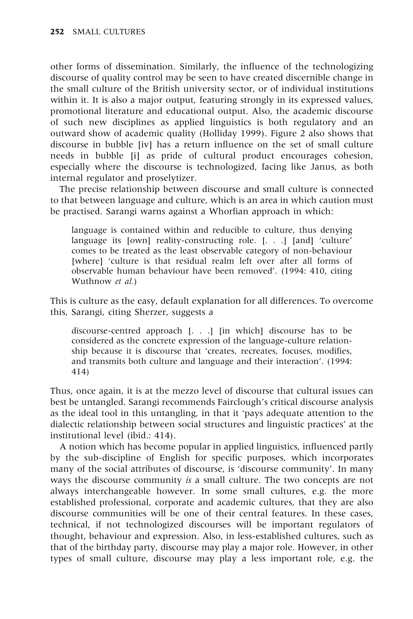other forms of dissemination. Similarly, the influence of the technologizing discourse of quality control may be seen to have created discernible change in the small culture of the British university sector, or of individual institutions within it. It is also a major output, featuring strongly in its expressed values, promotional literature and educational output. Also, the academic discourse of such new disciplines as applied linguistics is both regulatory and an outward show of academic quality (Holliday 1999). Figure 2 also shows that discourse in bubble [iv] has a return influence on the set of small culture needs in bubble [i] as pride of cultural product encourages cohesion, especially where the discourse is technologized, facing like Janus, as both internal regulator and proselytizer.

The precise relationship between discourse and small culture is connected to that between language and culture, which is an area in which caution must be practised. Sarangi warns against a Whorfian approach in which:

language is contained within and reducible to culture, thus denying language its [own] reality-constructing role. [. . .] [and] 'culture' comes to be treated as the least observable category of non-behaviour [where] 'culture is that residual realm left over after all forms of observable human behaviour have been removed'. (1994: 410, citing Wuthnow et al.)

This is culture as the easy, default explanation for all differences. To overcome this, Sarangi, citing Sherzer, suggests a

discourse-centred approach [. . .] [in which] discourse has to be considered as the concrete expression of the language-culture relationship because it is discourse that 'creates, recreates, focuses, modifies, and transmits both culture and language and their interaction'. (1994: 414)

Thus, once again, it is at the mezzo level of discourse that cultural issues can best be untangled. Sarangi recommends Fairclough's critical discourse analysis as the ideal tool in this untangling, in that it 'pays adequate attention to the dialectic relationship between social structures and linguistic practices' at the institutional level (ibid.: 414).

A notion which has become popular in applied linguistics, influenced partly by the sub-discipline of English for specific purposes, which incorporates many of the social attributes of discourse, is 'discourse community'. In many ways the discourse community is a small culture. The two concepts are not always interchangeable however. In some small cultures, e.g. the more established professional, corporate and academic cultures, that they are also discourse communities will be one of their central features. In these cases. technical, if not technologized discourses will be important regulators of thought, behaviour and expression. Also, in less-established cultures, such as that of the birthday party, discourse may play a major role. However, in other types of small culture, discourse may play a less important role, e.g. the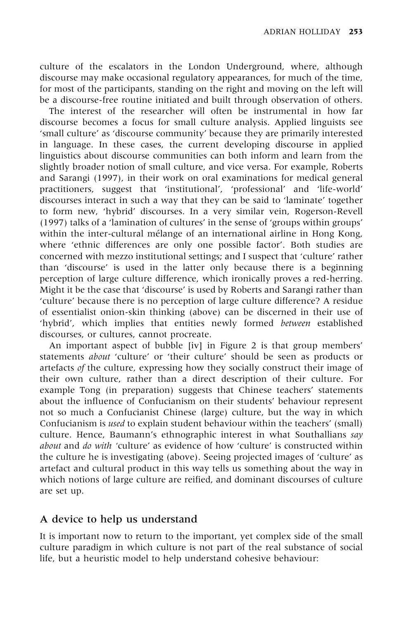culture of the escalators in the London Underground, where, although discourse may make occasional regulatory appearances, for much of the time, for most of the participants, standing on the right and moving on the left will be a discourse-free routine initiated and built through observation of others.

The interest of the researcher will often be instrumental in how far discourse becomes a focus for small culture analysis. Applied linguists see 'small culture' as 'discourse community' because they are primarily interested in language. In these cases, the current developing discourse in applied linguistics about discourse communities can both inform and learn from the slightly broader notion of small culture, and vice versa. For example, Roberts and Sarangi (1997), in their work on oral examinations for medical general practitioners, suggest that 'institutional', 'professional' and 'life-world' discourses interact in such a way that they can be said to 'laminate' together to form new, 'hybrid' discourses. In a very similar vein, Rogerson-Revell (1997) talks of a 'lamination of cultures' in the sense of 'groups within groups' within the inter-cultural mélange of an international airline in Hong Kong, where 'ethnic differences are only one possible factor'. Both studies are concerned with mezzo institutional settings; and I suspect that 'culture' rather than 'discourse' is used in the latter only because there is a beginning perception of large culture difference, which ironically proves a red-herring. Might it be the case that 'discourse' is used by Roberts and Sarangi rather than 'culture' because there is no perception of large culture difference? A residue of essentialist onion-skin thinking (above) can be discerned in their use of 'hybrid', which implies that entities newly formed between established discourses, or cultures, cannot procreate.

An important aspect of bubble [iv] in Figure 2 is that group members' statements about 'culture' or 'their culture' should be seen as products or artefacts of the culture, expressing how they socially construct their image of their own culture, rather than a direct description of their culture. For example Tong (in preparation) suggests that Chinese teachers' statements about the influence of Confucianism on their students' behaviour represent not so much a Confucianist Chinese (large) culture, but the way in which Confucianism is *used* to explain student behaviour within the teachers' (small) culture. Hence, Baumann's ethnographic interest in what Southallians say *about* and *do with* 'culture' as evidence of how 'culture' is constructed within the culture he is investigating (above). Seeing projected images of 'culture' as artefact and cultural product in this way tells us something about the way in which notions of large culture are reified, and dominant discourses of culture are set up.

## A device to help us understand

It is important now to return to the important, yet complex side of the small culture paradigm in which culture is not part of the real substance of social life, but a heuristic model to help understand cohesive behaviour: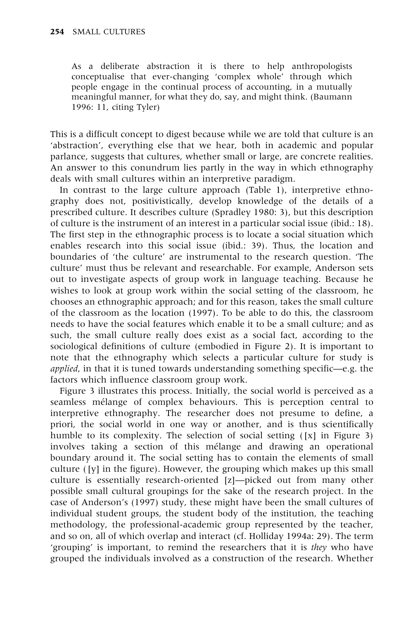As a deliberate abstraction it is there to help anthropologists conceptualise that ever-changing 'complex whole' through which people engage in the continual process of accounting, in a mutually meaningful manner, for what they do, say, and might think. (Baumann 1996: 11, citing Tyler)

This is a difficult concept to digest because while we are told that culture is an 'abstraction', everything else that we hear, both in academic and popular parlance, suggests that cultures, whether small or large, are concrete realities. An answer to this conundrum lies partly in the way in which ethnography deals with small cultures within an interpretive paradigm.

In contrast to the large culture approach (Table 1), interpretive ethnography does not, positivistically, develop knowledge of the details of a prescribed culture. It describes culture (Spradley 1980: 3), but this description of culture is the instrument of an interest in a particular social issue (ibid.: 18). The first step in the ethnographic process is to locate a social situation which enables research into this social issue (ibid.: 39). Thus, the location and boundaries of 'the culture' are instrumental to the research question. The culture' must thus be relevant and researchable. For example, Anderson sets out to investigate aspects of group work in language teaching. Because he wishes to look at group work within the social setting of the classroom, he chooses an ethnographic approach; and for this reason, takes the small culture of the classroom as the location (1997). To be able to do this, the classroom needs to have the social features which enable it to be a small culture; and as such, the small culture really does exist as a social fact, according to the sociological definitions of culture (embodied in Figure 2). It is important to note that the ethnography which selects a particular culture for study is *applied*, in that it is tuned towards understanding something specific—e.g. the factors which influence classroom group work.

Figure 3 illustrates this process. Initially, the social world is perceived as a seamless mélange of complex behaviours. This is perception central to interpretive ethnography. The researcher does not presume to define, a priori, the social world in one way or another, and is thus scientifically humble to its complexity. The selection of social setting ( $[x]$  in Figure 3) involves taking a section of this mélange and drawing an operational boundary around it. The social setting has to contain the elements of small culture ([y] in the figure). However, the grouping which makes up this small culture is essentially research-oriented [z]—picked out from many other possible small cultural groupings for the sake of the research project. In the case of Anderson's (1997) study, these might have been the small cultures of individual student groups, the student body of the institution, the teaching methodology, the professional-academic group represented by the teacher, and so on, all of which overlap and interact (cf. Holliday 1994a: 29). The term 'grouping' is important, to remind the researchers that it is *they* who have grouped the individuals involved as a construction of the research. Whether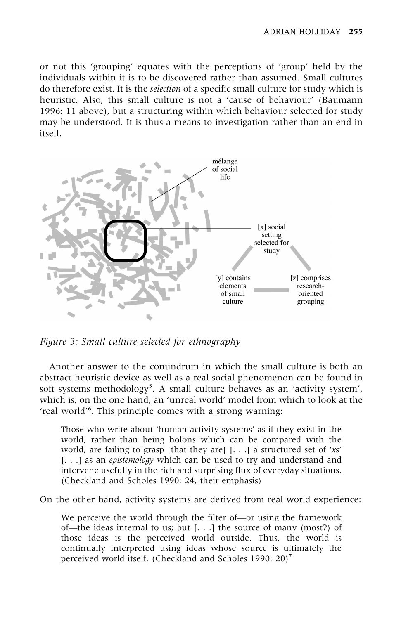or not this 'grouping' equates with the perceptions of 'group' held by the individuals within it is to be discovered rather than assumed. Small cultures do therefore exist. It is the *selection* of a specific small culture for study which is heuristic. Also, this small culture is not a 'cause of behaviour' (Baumann 1996: 11 above), but a structuring within which behaviour selected for study may be understood. It is thus a means to investigation rather than an end in itself.



Figure 3: Small culture selected for ethnography

Another answer to the conundrum in which the small culture is both an abstract heuristic device as well as a real social phenomenon can be found in soft systems methodology<sup>5</sup>. A small culture behaves as an 'activity system', which is, on the one hand, an 'unreal world' model from which to look at the 'real world'<sup>6</sup>. This principle comes with a strong warning:

Those who write about 'human activity systems' as if they exist in the world, rather than being holons which can be compared with the world, are failing to grasp [that they are] [...] a structured set of 'xs' [...] as an epistemology which can be used to try and understand and intervene usefully in the rich and surprising flux of everyday situations. (Checkland and Scholes 1990: 24, their emphasis)

On the other hand, activity systems are derived from real world experience:

We perceive the world through the filter of —or using the framework of—the ideas internal to us; but [...] the source of many (most?) of those ideas is the perceived world outside. Thus, the world is continually interpreted using ideas whose source is ultimately the perceived world itself. (Checkland and Scholes 1990:  $20$ )<sup>7</sup>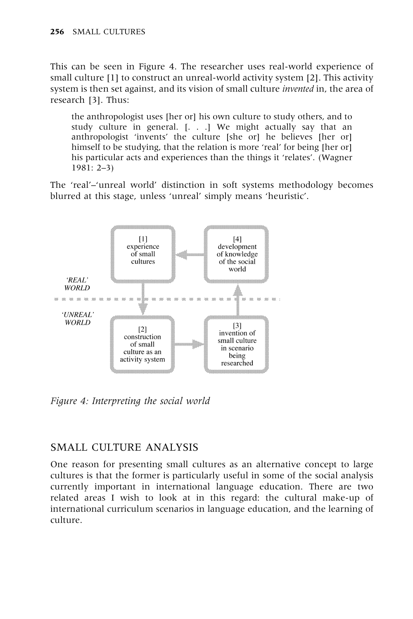This can be seen in Figure 4. The researcher uses real-world experience of small culture [1] to construct an unreal-world activity system [2]. This activity system is then set against, and its vision of small culture *invented* in, the area of research [3]. Thus:

the anthropologist uses [her or] his own culture to study others, and to study culture in general. [. . .] We might actually say that an anthropologist 'invents' the culture [she or] he believes [her or] himself to be studying, that the relation is more 'real' for being [her or] his particular acts and experiences than the things it 'relates'. (Wagner  $1981: 2-3$ 

The 'real'-'unreal world' distinction in soft systems methodology becomes blurred at this stage, unless 'unreal' simply means 'heuristic'.



Figure 4: Interpreting the social world

# SMALL CULTURE ANALYSIS

One reason for presenting small cultures as an alternative concept to large cultures is that the former is particularly useful in some of the social analysis currently important in international language education. There are two related areas I wish to look at in this regard: the cultural make-up of international curriculum scenarios in language education, and the learning of culture.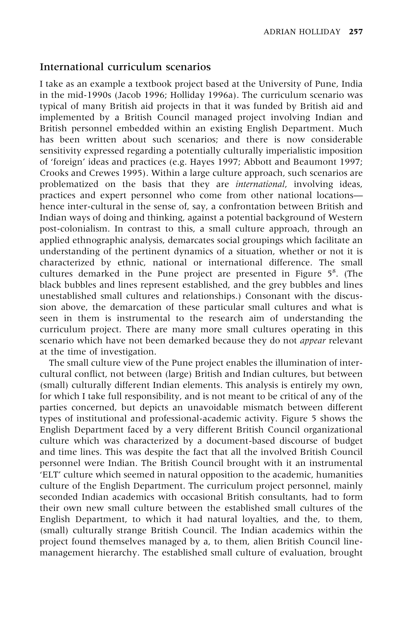#### International curriculum scenarios

I take as an example a textbook project based at the University of Pune, India in the mid-1990s (Jacob 1996; Holliday 1996a). The curriculum scenario was typical of many British aid projects in that it was funded by British aid and implemented by a British Council managed project involving Indian and British personnel embedded within an existing English Department. Much has been written about such scenarios; and there is now considerable sensitivity expressed regarding a potentially culturally imperialistic imposition of 'foreign' ideas and practices (e.g. Hayes 1997; Abbott and Beaumont 1997; Crooks and Crewes 1995). Within a large culture approach, such scenarios are problematized on the basis that they are *international*, involving ideas, practices and expert personnel who come from other national locationshence inter-cultural in the sense of, say, a confrontation between British and Indian ways of doing and thinking, against a potential background of Western post-colonialism. In contrast to this, a small culture approach, through an applied ethnographic analysis, demarcates social groupings which facilitate an understanding of the pertinent dynamics of a situation, whether or not it is characterized by ethnic, national or international difference. The small cultures demarked in the Pune project are presented in Figure 5<sup>8</sup>. (The black bubbles and lines represent established, and the grey bubbles and lines unestablished small cultures and relationships.) Consonant with the discussion above, the demarcation of these particular small cultures and what is seen in them is instrumental to the research aim of understanding the curriculum project. There are many more small cultures operating in this scenario which have not been demarked because they do not *appear* relevant at the time of investigation.

The small culture view of the Pune project enables the illumination of intercultural conflict, not between (large) British and Indian cultures, but between (small) culturally different Indian elements. This analysis is entirely my own, for which I take full responsibility, and is not meant to be critical of any of the parties concerned, but depicts an unavoidable mismatch between different types of institutional and professional-academic activity. Figure 5 shows the English Department faced by a very different British Council organizational culture which was characterized by a document-based discourse of budget and time lines. This was despite the fact that all the involved British Council personnel were Indian. The British Council brought with it an instrumental 'ELT' culture which seemed in natural opposition to the academic, humanities culture of the English Department. The curriculum project personnel, mainly seconded Indian academics with occasional British consultants, had to form their own new small culture between the established small cultures of the English Department, to which it had natural lovalties, and the, to them, (small) culturally strange British Council. The Indian academics within the project found themselves managed by a, to them, alien British Council linemanagement hierarchy. The established small culture of evaluation, brought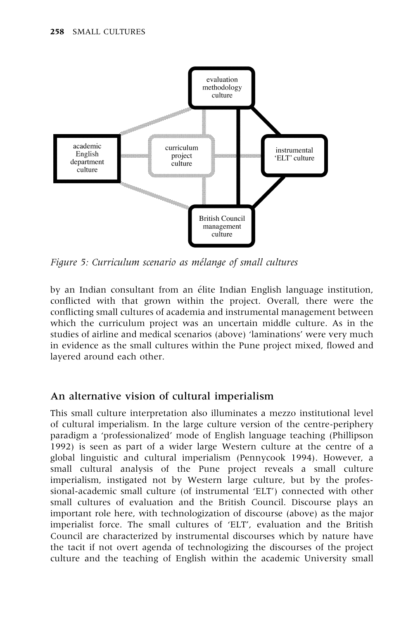

Figure 5: Curriculum scenario as mélange of small cultures

by an Indian consultant from an élite Indian English language institution, conflicted with that grown within the project. Overall, there were the conflicting small cultures of academia and instrumental management between which the curriculum project was an uncertain middle culture. As in the studies of airline and medical scenarios (above) 'laminations' were very much in evidence as the small cultures within the Pune project mixed, flowed and layered around each other.

# An alternative vision of cultural imperialism

This small culture interpretation also illuminates a mezzo institutional level of cultural imperialism. In the large culture version of the centre-periphery paradigm a 'professionalized' mode of English language teaching (Phillipson 1992) is seen as part of a wider large Western culture at the centre of a global linguistic and cultural imperialism (Pennycook 1994). However, a small cultural analysis of the Pune project reveals a small culture imperialism, instigated not by Western large culture, but by the professional-academic small culture (of instrumental 'ELT') connected with other small cultures of evaluation and the British Council. Discourse plays an important role here, with technologization of discourse (above) as the major imperialist force. The small cultures of 'ELT', evaluation and the British Council are characterized by instrumental discourses which by nature have the tacit if not overt agenda of technologizing the discourses of the project culture and the teaching of English within the academic University small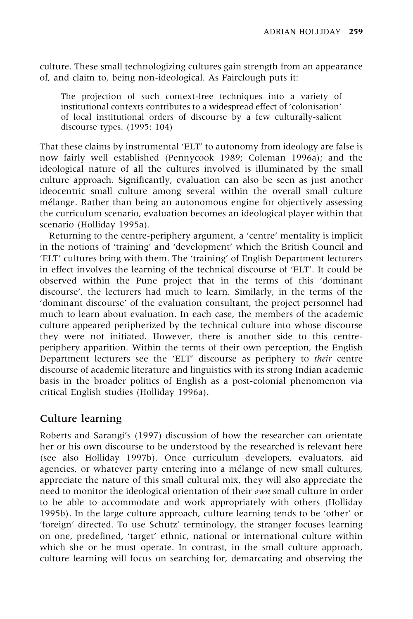culture. These small technologizing cultures gain strength from an appearance of, and claim to, being non-ideological. As Fairclough puts it:

The projection of such context-free techniques into a variety of institutional contexts contributes to a widespread effect of 'colonisation' of local institutional orders of discourse by a few culturally-salient discourse types. (1995: 104)

That these claims by instrumental 'ELT' to autonomy from ideology are false is now fairly well established (Pennycook 1989; Coleman 1996a); and the ideological nature of all the cultures involved is illuminated by the small culture approach. Significantly, evaluation can also be seen as just another ideocentric small culture among several within the overall small culture mélange. Rather than being an autonomous engine for objectively assessing the curriculum scenario, evaluation becomes an ideological player within that scenario (Holliday 1995a).

Returning to the centre-periphery argument, a 'centre' mentality is implicit in the notions of 'training' and 'development' which the British Council and 'ELT' cultures bring with them. The 'training' of English Department lecturers in effect involves the learning of the technical discourse of 'ELT'. It could be observed within the Pune project that in the terms of this 'dominant discourse', the lecturers had much to learn. Similarly, in the terms of the 'dominant discourse' of the evaluation consultant, the project personnel had much to learn about evaluation. In each case, the members of the academic culture appeared peripherized by the technical culture into whose discourse they were not initiated. However, there is another side to this centreperiphery apparition. Within the terms of their own perception, the English Department lecturers see the 'ELT' discourse as periphery to their centre discourse of academic literature and linguistics with its strong Indian academic basis in the broader politics of English as a post-colonial phenomenon via critical English studies (Holliday 1996a).

# Culture learning

Roberts and Sarangi's (1997) discussion of how the researcher can orientate her or his own discourse to be understood by the researched is relevant here (see also Holliday 1997b). Once curriculum developers, evaluators, aid agencies, or whatever party entering into a mélange of new small cultures, appreciate the nature of this small cultural mix, they will also appreciate the need to monitor the ideological orientation of their *own* small culture in order to be able to accommodate and work appropriately with others (Holliday 1995b). In the large culture approach, culture learning tends to be 'other' or 'foreign' directed. To use Schutz' terminology, the stranger focuses learning on one, predefined, 'target' ethnic, national or international culture within which she or he must operate. In contrast, in the small culture approach, culture learning will focus on searching for, demarcating and observing the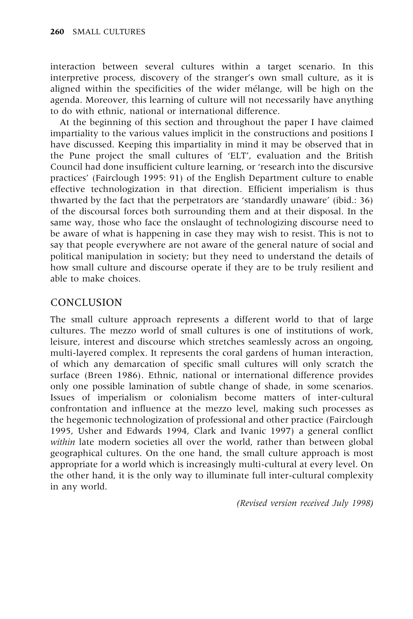interaction between several cultures within a target scenario. In this interpretive process, discovery of the stranger's own small culture, as it is aligned within the specificities of the wider mélange, will be high on the agenda. Moreover, this learning of culture will not necessarily have anything to do with ethnic, national or international difference.

At the beginning of this section and throughout the paper I have claimed impartiality to the various values implicit in the constructions and positions I have discussed. Keeping this impartiality in mind it may be observed that in the Pune project the small cultures of 'ELT', evaluation and the British Council had done insufficient culture learning, or 'research into the discursive practices' (Fairclough 1995: 91) of the English Department culture to enable effective technologization in that direction. Efficient imperialism is thus thwarted by the fact that the perpetrators are 'standardly unaware' (ibid.: 36) of the discoursal forces both surrounding them and at their disposal. In the same way, those who face the onslaught of technologizing discourse need to be aware of what is happening in case they may wish to resist. This is not to say that people everywhere are not aware of the general nature of social and political manipulation in society; but they need to understand the details of how small culture and discourse operate if they are to be truly resilient and able to make choices.

# CONCLUSION

The small culture approach represents a different world to that of large cultures. The mezzo world of small cultures is one of institutions of work. leisure, interest and discourse which stretches seamlessly across an ongoing, multi-layered complex. It represents the coral gardens of human interaction, of which any demarcation of specific small cultures will only scratch the surface (Breen 1986). Ethnic, national or international difference provides only one possible lamination of subtle change of shade, in some scenarios. Issues of imperialism or colonialism become matters of inter-cultural confrontation and influence at the mezzo level, making such processes as the hegemonic technologization of professional and other practice (Fairclough 1995, Usher and Edwards 1994, Clark and Ivanic 1997) a general conflict within late modern societies all over the world, rather than between global geographical cultures. On the one hand, the small culture approach is most appropriate for a world which is increasingly multi-cultural at every level. On the other hand, it is the only way to illuminate full inter-cultural complexity in any world.

(Revised version received July 1998)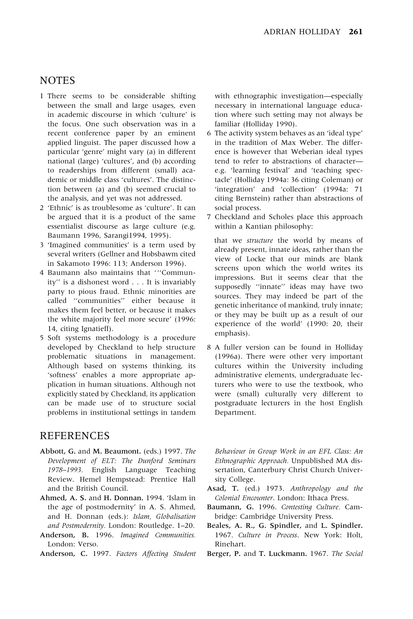#### **NOTES**

- 1 There seems to be considerable shifting between the small and large usages, even in academic discourse in which 'culture' is the focus. One such observation was in a recent conference paper by an eminent applied linguist. The paper discussed how a particular 'genre' might vary (a) in different national (large) 'cultures', and (b) according to readerships from different (small) academic or middle class 'cultures'. The distinction between (a) and (b) seemed crucial to the analysis, and yet was not addressed.
- 2 'Ethnic' is as troublesome as 'culture'. It can be argued that it is a product of the same essentialist discourse as large culture (e.g. Baumann 1996, Sarangi1994, 1995).
- 3 'Imagined communities' is a term used by several writers (Gellner and Hobsbawm cited in Sakamoto 1996: 113: Anderson 1996).
- 4 Baumann also maintains that "Community" is a dishonest word . . . It is invariably party to pious fraud. Ethnic minorities are called "communities" either because it makes them feel better, or because it makes the white majority feel more secure' (1996: 14, citing Ignatieff).
- 5 Soft systems methodology is a procedure developed by Checkland to help structure problematic situations in management. Although based on systems thinking, its 'softness' enables a more appropriate application in human situations. Although not explicitly stated by Checkland, its application can be made use of to structure social problems in institutional settings in tandem

#### **REFERENCES**

- Abbott, G. and M. Beaumont. (eds.) 1997. The Development of ELT: The Dunford Seminars 1978-1993. English Language Teaching Review. Hemel Hempstead: Prentice Hall and the British Council.
- Ahmed. A. S. and H. Donnan. 1994. 'Islam in the age of postmodernity' in A. S. Ahmed, and H. Donnan (eds.): Islam, Globalisation and Postmodernity. London: Routledge. 1-20.
- Anderson, B. 1996. Imagined Communities. London: Verso.
- Anderson, C. 1997. Factors Affecting Student

with ethnographic investigation-especially necessary in international language education where such setting may not always be familiar (Holliday 1990).

- 6 The activity system behaves as an 'ideal type' in the tradition of Max Weber. The difference is however that Weberian ideal types tend to refer to abstractions of charactere.g. 'learning festival' and 'teaching spectacle' (Holliday 1994a: 36 citing Coleman) or 'integration' and 'collection' (1994a: 71 citing Bernstein) rather than abstractions of social process.
- 7 Checkland and Scholes place this approach within a Kantian philosophy:

that we structure the world by means of already present, innate ideas, rather than the view of Locke that our minds are blank screens upon which the world writes its impressions. But it seems clear that the supposedly "innate" ideas may have two sources. They may indeed be part of the genetic inheritance of mankind, truly innate; or they may be built up as a result of our experience of the world' (1990: 20, their emphasis).

8 A fuller version can be found in Holliday (1996a). There were other very important cultures within the University including administrative elements, undergraduate lecturers who were to use the textbook, who were (small) culturally very different to postgraduate lecturers in the host English Department.

Behaviour in Group Work in an EFL Class: An Ethnographic Approach. Unpublished MA dissertation, Canterbury Christ Church University College.

- Asad, T. (ed.) 1973. Anthropology and the Colonial Encounter, London: Ithaca Press.
- Baumann, G. 1996. Contesting Culture. Cambridge: Cambridge University Press.
- Beales, A. R., G. Spindler, and L. Spindler. 1967. Culture in Process. New York: Holt, Rinehart.
- Berger, P. and T. Luckmann. 1967. The Social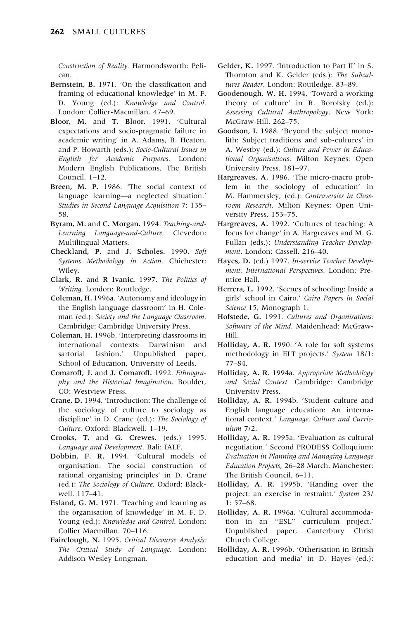Construction of Reality. Harmondsworth: Pelican.

- Bernstein, B. 1971. 'On the classification and framing of educational knowledge' in M. F. D. Young (ed.): Knowledge and Control. London: Collier-Macmillan. 47-69.
- Bloor, M. and T. Bloor. 1991. 'Cultural expectations and socio-pragmatic failure in academic writing' in A. Adams, B. Heaton, and P. Howarth (eds.): Socio-Cultural Issues in English for Academic Purposes. London: Modern English Publications, The British Council. 1-12.
- Breen, M. P. 1986. 'The social context of language learning-a neglected situation.' Studies in Second Language Acquisition 7: 135-58
- Byram, M. and C. Morgan. 1994. Teaching-and-Learning Language-and-Culture. Clevedon: Multilingual Matters.
- Checkland, P. and J. Scholes. 1990. Soft Systems Methodology in Action. Chichester: Wiley.
- Clark, R. and R Ivanic. 1997. The Politics of Writing. London: Routledge.
- Coleman, H. 1996a. 'Autonomy and ideology in the English language classroom' in H. Coleman (ed.): Society and the Language Classroom. Cambridge: Cambridge University Press.
- Coleman, H. 1996b. 'Interpreting classrooms in international contexts: Darwinism and sartorial fashion.' Unpublished paper, School of Education, University of Leeds.
- Comaroff, J. and J. Comaroff. 1992. Ethnography and the Historical Imagination. Boulder, CO: Westview Press.
- Crane, D. 1994. 'Introduction: The challenge of the sociology of culture to sociology as discipline' in D. Crane (ed.): The Sociology of Culture, Oxford: Blackwell, 1-19.
- Crooks, T. and G. Crewes. (eds.) 1995. Language and Development. Bali: IALF.
- Dobbin, F. R. 1994. 'Cultural models of organisation: The social construction of rational organising principles' in D. Crane (ed.): The Sociology of Culture. Oxford: Blackwell. 117-41.
- Esland, G. M. 1971. 'Teaching and learning as the organisation of knowledge' in M. F. D. Young (ed.): Knowledge and Control. London: Collier Macmillan. 70-116.
- Fairclough, N. 1995. Critical Discourse Analysis: The Critical Study of Language. London: Addison Wesley Longman.
- Gelder, K. 1997. 'Introduction to Part II' in S. Thornton and K. Gelder (eds.): The Subcultures Reader. London: Routledge. 83-89.
- Goodenough, W. H. 1994. 'Toward a working theory of culture' in R. Borofsky (ed.): Assessing Cultural Anthropology. New York: McGraw-Hill. 262-75.
- Goodson, I. 1988. 'Beyond the subject monolith: Subject traditions and sub-cultures' in A. Westby (ed.): Culture and Power in Educational Organisations. Milton Keynes: Open University Press. 181-97.
- Hargreaves, A. 1986. 'The micro-macro problem in the sociology of education' in M. Hammersley, (ed.): Controversies in Classroom Research. Milton Keynes: Open University Press. 153-75.
- Hargreaves, A. 1992. 'Cultures of teaching: A focus for change' in A. Hargreaves and M. G. Fullan (eds.): Understanding Teacher Development. London: Cassell. 216-40.
- Hayes, D. (ed.) 1997. In-service Teacher Development: International Perspectives. London: Prentice Hall
- Herrera, L. 1992. 'Scenes of schooling: Inside a girls' school in Cairo.' Cairo Papers in Social Science 15, Monograph 1.
- Hofstede, G. 1991. Cultures and Organisations: Software of the Mind. Maidenhead: McGraw-Hill.
- Holliday, A. R. 1990. 'A role for soft systems methodology in ELT projects.' System 18/1:  $77 - 84$
- Holliday, A. R. 1994a. Appropriate Methodology and Social Context. Cambridge: Cambridge University Press.
- Holliday, A. R. 1994b. 'Student culture and English language education: An international context.' Language, Culture and Curriculum 7/2.
- Holliday, A. R. 1995a. 'Evaluation as cultural negotiation.' Second PRODESS Colloquium: Evaluation in Planning and Managing Language Education Projects, 26-28 March. Manchester: The British Council. 6-11.
- Holliday, A. R. 1995b. 'Handing over the project: an exercise in restraint.' System 23/  $1: 57 - 68.$
- Holliday, A. R. 1996a. 'Cultural accommodation in an "ESL" curriculum project.' Unpublished paper, Canterbury Christ Church College.
- Holliday, A. R. 1996b. 'Otherisation in British education and media' in D. Hayes (ed.):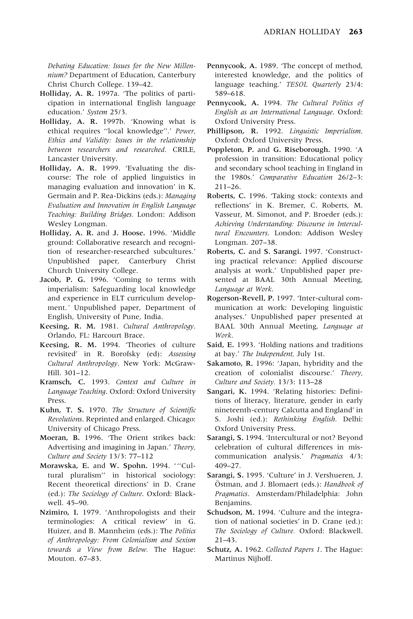Debating Education: Issues for the New Millennium? Department of Education, Canterbury Christ Church College. 139-42.

- Holliday, A. R. 1997a. 'The politics of participation in international English language education.' System 25/3.
- Holliday, A. R. 1997b. 'Knowing what is ethical requires "local knowledge".' Power, Ethics and Validity: Issues in the relationship between researchers and researched. CRILE, Lancaster University.
- Holliday, A. R. 1999. 'Evaluating the discourse: The role of applied linguistics in managing evaluation and innovation' in K. Germain and P. Rea-Dickins (eds.): Managing Evaluation and Innovation in English Language Teaching: Building Bridges. London: Addison Wesley Longman.
- Holliday, A. R. and J. Hoose. 1996. 'Middle ground: Collaborative research and recognition of researcher-researched subcultures.' Unpublished paper, Canterbury Christ Church University College.
- Jacob, P. G. 1996. 'Coming to terms with imperialism: Safeguarding local knowledge and experience in ELT curriculum development.' Unpublished paper, Department of English, University of Pune, India.
- Keesing, R. M. 1981. Cultural Anthropology. Orlando, FL: Harcourt Brace.
- Keesing, R. M. 1994. 'Theories of culture revisited' in R. Borofsky (ed): Assessing Cultural Anthropology. New York: McGraw-Hill. 301-12.
- Kramsch. C. 1993. Context and Culture in Language Teaching. Oxford: Oxford University Press.
- Kuhn, T. S. 1970. The Structure of Scientific Revolutions. Reprinted and enlarged. Chicago: University of Chicago Press.
- Moeran, B. 1996. 'The Orient strikes back: Advertising and imagining in Japan.' Theory, Culture and Society 13/3: 77-112
- Morawska, E. and W. Spohn. 1994. "Cultural pluralism" in historical sociology: Recent theoretical directions' in D. Crane (ed.): The Sociology of Culture. Oxford: Blackwell. 45-90.
- Nzimiro, I. 1979. 'Anthropologists and their terminologies: A critical review in G. Huizer, and B. Mannheim (eds.): The Politics of Anthropology: From Colonialism and Sexism towards a View from Below. The Hague: Mouton. 67-83.
- Pennycook, A. 1989. 'The concept of method, interested knowledge, and the politics of language teaching.' TESOL Quarterly 23/4: 589-618.
- Pennycook, A. 1994. The Cultural Politics of English as an International Language. Oxford: Oxford University Press.
- Phillipson, R. 1992. Linguistic Imperialism. Oxford: Oxford University Press.
- Poppleton, P. and G. Riseborough. 1990. 'A profession in transition: Educational policy and secondary school teaching in England in the 1980s.' Comparative Education 26/2-3:  $211 - 26.$
- Roberts, C. 1996. 'Taking stock: contexts and reflections' in K. Bremer, C. Roberts, M. Vasseur. M. Simonot. and P. Broeder (eds.): Achieving Understanding: Discourse in Intercultural Encounters. London: Addison Wesley Longman. 207-38.
- Roberts, C. and S. Sarangi. 1997. 'Constructing practical relevance: Applied discourse analysis at work.' Unpublished paper presented at BAAL 30th Annual Meeting, Language at Work.
- Rogerson-Revell, P. 1997. 'Inter-cultural communication at work: Developing linguistic analyses.' Unpublished paper presented at BAAL 30th Annual Meeting, Language at Work.
- Said, E. 1993. 'Holding nations and traditions at bay.' The Independent, July 1st.
- Sakamoto, R. 1996: 'Japan, hybridity and the creation of colonialist discourse.' Theory, Culture and Society. 13/3: 113-28
- Sangari, K. 1994. 'Relating histories: Definitions of literacy, literature, gender in early nineteenth-century Calcutta and England' in S. Joshi (ed.): Rethinking English. Delhi: Oxford University Press.
- Sarangi, S. 1994. 'Intercultural or not? Beyond celebration of cultural differences in miscommunication analysis.' Pragmatics 4/3:  $409 - 27.$
- Sarangi, S. 1995. 'Culture' in J. Vershueren, J. Östman, and J. Blomaert (eds.): Handbook of Pragmatics. Amsterdam/Philadelphia: John Benjamins.
- Schudson, M. 1994. 'Culture and the integration of national societies' in D. Crane (ed.): The Sociology of Culture. Oxford: Blackwell.  $21 - 43$ .
- Schutz, A. 1962. Collected Papers 1. The Hague: Martinus Nijhoff.